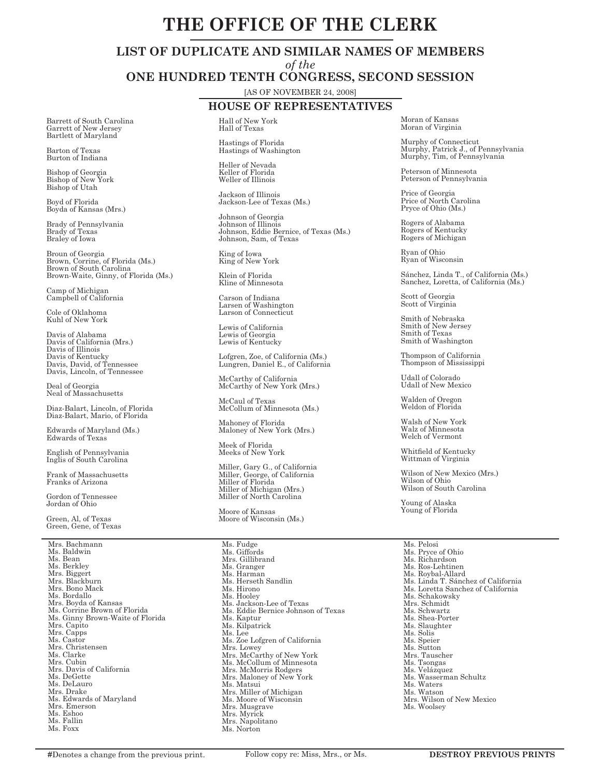# **THE OFFICE OF THE CLERK**

# **LIST OF DUPLICATE AND SIMILAR NAMES OF MEMBERS**

*of the*

**ONE HUNDRED TENTH CONGRESS, SECOND SESSION**

[AS OF NOVEMBER 24, 2008]

# **HOUSE OF REPRESENTATIVES**

Hall of New York Hall of Texas

> Hastings of Florida Hastings of Washington

Heller of Nevada Keller of Florida Weller of Illinois

Jackson of Illinois Jackson-Lee of Texas (Ms.)

Johnson of Georgia Johnson of Illinois Johnson, Eddie Bernice, of Texas (Ms.) Johnson, Sam, of Texas

King of Iowa King of New York

Klein of Florida Kline of Minnesota

Carson of Indiana Larsen of Washington Larson of Connecticut

Lewis of California Lewis of Georgia Lewis of Kentucky

Lofgren, Zoe, of California (Ms.) Lungren, Daniel E., of California

McCarthy of California McCarthy of New York (Mrs.)

McCaul of Texas McCollum of Minnesota (Ms.)

Mahoney of Florida Maloney of New York (Mrs.)

Meek of Florida Meeks of New York

Miller, Gary G., of California Miller, George, of California Miller of Florida Miller of Michigan (Mrs.) Miller of North Carolina

Moore of Kansas Moore of Wisconsin (Ms.)

Ms. Fudge Ms. Giffords Mrs. Gillibrand Ms. Granger Ms. Harman Ms. Herseth Sandlin Ms. Hirono Ms. Hooley Ms. Jackson-Lee of Texas Ms. Eddie Bernice Johnson of Texas Ms. Kaptur Ms. Kilpatrick Ms. Lee Ms. Zoe Lofgren of California Mrs. Lowey Mrs. McCarthy of New York Ms. McCollum of Minnesota Mrs. McMorris Rodgers Mrs. Maloney of New York Ms. Matsui Mrs. Miller of Michigan Ms. Moore of Wisconsin Mrs. Musgrave Mrs. Myrick Mrs. Napolitano Ms. Norton

Moran of Kansas Moran of Virginia

Murphy of Connecticut Murphy, Patrick J., of Pennsylvania Murphy, Tim, of Pennsylvania

Peterson of Minnesota Peterson of Pennsylvania

Price of Georgia Price of North Carolina Pryce of Ohio (Ms.)

Rogers of Alabama Rogers of Kentucky Rogers of Michigan

Ryan of Ohio Ryan of Wisconsin

Sánchez, Linda T., of California (Ms.) Sanchez, Loretta, of California (Ms.)

Scott of Georgia Scott of Virginia

Smith of Nebraska Smith of New Jersey Smith of Texas Smith of Washington

Thompson of California Thompson of Mississippi

Udall of Colorado Udall of New Mexico

Walden of Oregon Weldon of Florida

Walsh of New York Walz of Minnesota Welch of Vermont

Whitfield of Kentucky Wittman of Virginia

Wilson of New Mexico (Mrs.) Wilson of Ohio Wilson of South Carolina

Young of Alaska Young of Florida

Ms. Pelosi Ms. Pryce of Ohio Ms. Richardson Ms. Ros-Lehtinen Ms. Roybal-Allard Ms. Linda T. Sánchez of California Ms. Loretta Sanchez of California Ms. Schakowsky Mrs. Schmidt Ms. Schwartz Ms. Shea-Porter Ms. Slaughter Ms. Solis Ms. Speier Ms. Sutton Mrs. Tauscher Ms. Tsongas Ms. Velázquez Ms. Wasserman Schultz Ms. Waters Ms. Watson Mrs. Wilson of New Mexico Ms. Woolsey

Barrett of South Carolina Garrett of New Jersey Bartlett of Maryland

Barton of Texas Burton of Indiana

Bishop of Georgia Bishop of New York Bishop of Utah

Boyd of Florida Boyda of Kansas (Mrs.)

Brady of Pennsylvania Brady of Texas Braley of Iowa

Broun of Georgia Brown, Corrine, of Florida (Ms.) Brown of South Carolina Brown-Waite, Ginny, of Florida (Ms.)

Camp of Michigan Campbell of California

Cole of Oklahoma Kuhl of New York

Davis of Alabama Davis of California (Mrs.) Davis of Illinois Davis of Kentucky Davis, David, of Tennessee Davis, Lincoln, of Tennessee

Deal of Georgia Neal of Massachusetts

Diaz-Balart, Lincoln, of Florida Diaz-Balart, Mario, of Florida

Edwards of Maryland (Ms.) Edwards of Texas

English of Pennsylvania Inglis of South Carolina

Frank of Massachusetts Franks of Arizona

Gordon of Tennessee Jordan of Ohio

Green, Al, of Texas Green, Gene, of Texas

Mrs. Bachmann Ms. Baldwin Ms. Bean Ms. Berkley Mrs. Biggert Mrs. Blackburn Mrs. Bono Mack Ms. Bordallo Mrs. Boyda of Kansas Ms. Corrine Brown of Florida Ms. Ginny Brown-Waite of Florida Mrs. Capito Mrs. Capps Ms. Castor Mrs. Christensen Ms. Clarke Mrs. Cubin Mrs. Davis of California Ms. DeGette Ms. DeLauro Mrs. Drake Ms. Edwards of Maryland Mrs. Emerson Ms. Eshoo Ms. Fallin Ms. Foxx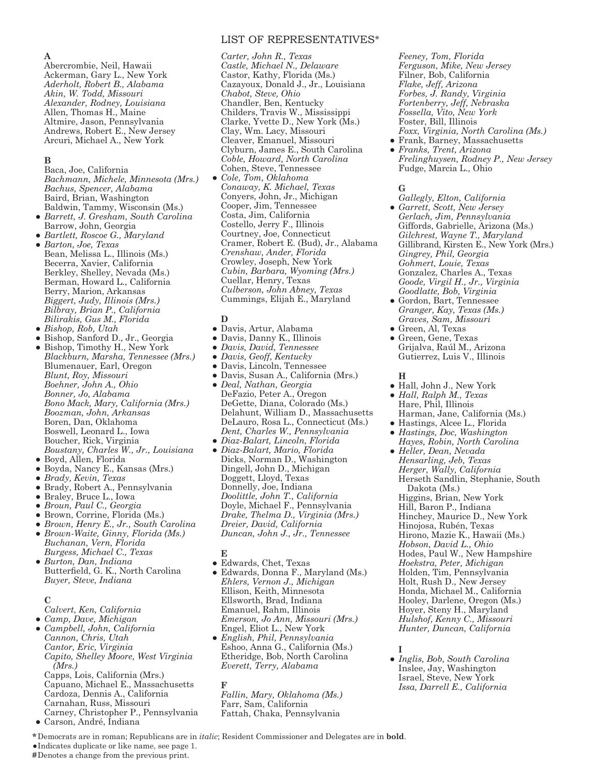## LIST OF REPRESENTATIVES\*

**A**

Abercrombie, Neil, Hawaii Ackerman, Gary L., New York *Aderholt, Robert B., Alabama Akin, W. Todd, Missouri Alexander, Rodney, Louisiana* Allen, Thomas H., Maine Altmire, Jason, Pennsylvania Andrews, Robert E., New Jersey Arcuri, Michael A., New York

#### **B**

Baca, Joe, California *Bachmann, Michele, Minnesota (Mrs.) Bachus, Spencer, Alabama* Baird, Brian, Washington Baldwin, Tammy, Wisconsin (Ms.)

- *● Barrett, J. Gresham, South Carolina* Barrow, John, Georgia
- *● Bartlett, Roscoe G., Maryland ● Barton, Joe, Texas* Bean, Melissa L., Illinois (Ms.) Becerra, Xavier, California Berkley, Shelley, Nevada (Ms.) Berman, Howard L., California Berry, Marion, Arkansas *Biggert, Judy, Illinois (Mrs.) Bilbray, Brian P., California Bilirakis, Gus M., Florida*
- *● Bishop, Rob, Utah*
- *●* Bishop, Sanford D., Jr., Georgia
- *●* Bishop, Timothy H., New York *Blackburn, Marsha, Tennessee (Mrs.)* Blumenauer, Earl, Oregon *Blunt, Roy, Missouri Boehner, John A., Ohio Bonner, Jo, Alabama Bono Mack, Mary, California (Mrs.) Boozman, John, Arkansas* Boren, Dan, Oklahoma Boswell, Leonard L., Iowa Boucher, Rick, Virginia *Boustany, Charles W., Jr., Louisiana*
- *●* Boyd, Allen, Florida
- *●* Boyda, Nancy E., Kansas (Mrs.)
- *● Brady, Kevin, Texas*
- *●* Brady, Robert A., Pennsylvania
- *●* Braley, Bruce L., Iowa
- *● Broun, Paul C., Georgia*
- *●* Brown, Corrine, Florida (Ms.)
- *● Brown, Henry E., Jr., South Carolina ● Brown-Waite, Ginny, Florida (Ms.) Buchanan, Vern, Florida*
- *Burgess, Michael C., Texas ● Burton, Dan, Indiana* Butterfield, G. K., North Carolina *Buyer, Steve, Indiana*

## $\mathbb{C}$

*Calvert, Ken, California*

*● Camp, Dave, Michigan ● Campbell, John, California Cannon, Chris, Utah Cantor, Eric, Virginia Capito, Shelley Moore, West Virginia (Mrs.)* Capps, Lois, California (Mrs.) Capuano, Michael E., Massachusetts

Cardoza, Dennis A., California Carnahan, Russ, Missouri Carney, Christopher P., Pennsylvania

*●*  Carson, André, Indiana

*Carter, John R., Texas Castle, Michael N., Delaware*  Castor, Kathy, Florida (Ms.) Cazayoux, Donald J., Jr., Louisiana *Chabot, Steve, Ohio* Chandler, Ben, Kentucky Childers, Travis W., Mississippi Clarke, Yvette D., New York (Ms.) Clay, Wm. Lacy, Missouri Cleaver, Emanuel, Missouri Clyburn, James E., South Carolina *Coble, Howard, North Carolina* Cohen, Steve, Tennessee

*● Cole, Tom, Oklahoma Conaway, K. Michael, Texas* Conyers, John, Jr., Michigan Cooper, Jim, Tennessee Costa, Jim, California Costello, Jerry F., Illinois Courtney, Joe, Connecticut Cramer, Robert E. (Bud), Jr., Alabama *Crenshaw, Ander, Florida* Crowley, Joseph, New York *Cubin, Barbara, Wyoming (Mrs.)* Cuellar, Henry, Texas *Culberson, John Abney, Texas* Cummings, Elijah E., Maryland

#### **D**

- *●* Davis, Artur, Alabama
- *●* Davis, Danny K., Illinois
- *● Davis, David, Tennessee*
- *● Davis, Geoff, Kentucky*
- *●* Davis, Lincoln, Tennessee
- *●* Davis, Susan A., California (Mrs.)
- *● Deal, Nathan, Georgia* DeFazio, Peter A., Oregon DeGette, Diana, Colorado (Ms.) Delahunt, William D., Massachusetts DeLauro, Rosa L., Connecticut (Ms.) *Dent, Charles W., Pennsylvania ● Diaz-Balart, Lincoln, Florida*
- *● Diaz-Balart, Mario, Florida* Dicks, Norman D., Washington Dingell, John D., Michigan Doggett, Lloyd, Texas Donnelly, Joe, Indiana *Doolittle, John T., California* Doyle, Michael F., Pennsylvania *Drake, Thelma D., Virginia (Mrs.) Dreier, David, California Duncan, John J., Jr., Tennessee*

#### **E**

- *●* Edwards, Chet, Texas *●* Edwards, Donna F., Maryland (Ms.) *Ehlers, Vernon J., Michigan* Ellison, Keith, Minnesota Ellsworth, Brad, Indiana Emanuel, Rahm, Illinois *Emerson, Jo Ann, Missouri (Mrs.)* Engel, Eliot L., New York
- *● English, Phil, Pennsylvania* Eshoo, Anna G., California (Ms.) Etheridge, Bob, North Carolina *Everett, Terry, Alabama*

#### **F**

*Fallin, Mary, Oklahoma (Ms.)* Farr, Sam, California Fattah, Chaka, Pennsylvania

*Feeney, Tom, Florida Ferguson, Mike, New Jersey* Filner, Bob, California *Flake, Jeff, Arizona Forbes, J. Randy, Virginia Fortenberry, Jeff, Nebraska Fossella, Vito, New York* Foster, Bill, Illinois *Foxx, Virginia, North Carolina (Ms.)*

*●* Frank, Barney, Massachusetts *● Franks, Trent, Arizona Frelinghuysen, Rodney P., New Jersey*  Fudge, Marcia L., Ohio

## **G**

- *Gallegly, Elton, California ● Garrett, Scott, New Jersey Gerlach, Jim, Pennsylvania* Giffords, Gabrielle, Arizona (Ms.) *Gilchrest, Wayne T., Maryland* Gillibrand, Kirsten E., New York (Mrs.) *Gingrey, Phil, Georgia Gohmert, Louie, Texas* Gonzalez, Charles A., Texas *Goode, Virgil H., Jr., Virginia Goodlatte, Bob, Virginia*
- *●* Gordon, Bart, Tennessee *Granger, Kay, Texas (Ms.) Graves, Sam, Missouri*
- *●* Green, Al, Texas *●* Green, Gene, Texas Grijalva, Raúl M., Arizona Gutierrez, Luis V., Illinois

#### **H**

- *●* Hall, John J., New York *● Hall, Ralph M., Texas* Hare, Phil, Illinois Harman, Jane, California (Ms.)
- *●* Hastings, Alcee L., Florida
- *● Hastings, Doc, Washington Hayes, Robin, North Carolina*
- *● Heller, Dean, Nevada Hensarling, Jeb, Texas Herger, Wally, California* Herseth Sandlin, Stephanie, South Dakota (Ms.) Higgins, Brian, New York Hill, Baron P., Indiana Hinchey, Maurice D., New York Hinojosa, Rubén, Texas Hirono, Mazie K., Hawaii (Ms.) *Hobson, David L., Ohio* Hodes, Paul W., New Hampshire *Hoekstra, Peter, Michigan* Holden, Tim, Pennsylvania Holt, Rush D., New Jersey Honda, Michael M., California Hooley, Darlene, Oregon (Ms.) Hoyer, Steny H., Maryland *Hulshof, Kenny C., Missouri Hunter, Duncan, California*

**I** 

- *● Inglis, Bob, South Carolina* Inslee, Jay, Washington Israel, Steve, New York *Issa, Darrell E., California*
- **\*** Democrats are in roman; Republicans are in *italic*; Resident Commissioner and Delegates are in **bold**.

*●*Indicates duplicate or like name, see page 1.

**#**Denotes a change from the previous print.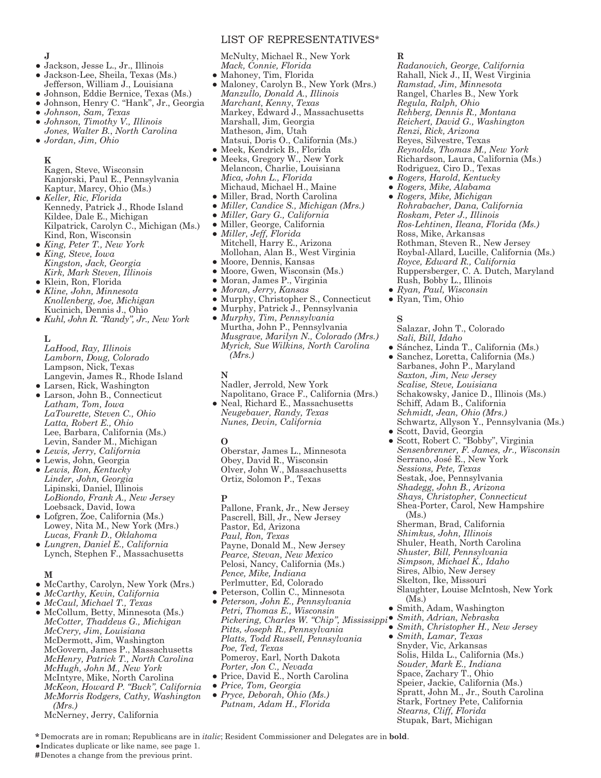## LIST OF REPRESENTATIVES\*

McNulty, Michael R., New York *Mack, Connie, Florida*

- *●* Mahoney, Tim, Florida *●* Maloney, Carolyn B., New York (Mrs.) *Manzullo, Donald A.*, *Illinois Marchant, Kenny*, *Texas* Markey, Edward J., Massachusetts Marshall, Jim, Georgia Matheson, Jim, Utah Matsui, Doris O., California (Ms.)
- *●* Meek, Kendrick B., Florida
- *●* Meeks, Gregory W., New York Melancon, Charlie, Louisiana *Mica, John L., Florida* Michaud, Michael H., Maine
- *●* Miller, Brad, North Carolina
- *● Miller, Candice S., Michigan (Mrs.)*
- *● Miller, Gary G., California*
- *●* Miller, George, California *● Miller, Jeff, Florida* Mitchell, Harry E., Arizona Mollohan, Alan B., West Virginia
- *●* Moore, Dennis, Kansas
- *●* Moore, Gwen, Wisconsin (Ms.)
- *●* Moran, James P., Virginia
- *● Moran, Jerry, Kansas*
- *●* Murphy, Christopher S., Connecticut
- *●* Murphy, Patrick J., Pennsylvania
- *● Murphy, Tim, Pennsylvania* Murtha, John P., Pennsylvania *Musgrave, Marilyn N., Colorado (Mrs.) Myrick, Sue Wilkins, North Carolina (Mrs.)*

#### **N**

Nadler, Jerrold, New York Napolitano, Grace F., California (Mrs.) *●* Neal, Richard E., Massachusetts

*Neugebauer, Randy, Texas Nunes, Devin, California*

#### **O**

Oberstar, James L., Minnesota Obey, David R., Wisconsin Olver, John W., Massachusetts Ortiz, Solomon P., Texas

#### **P**

Pallone, Frank, Jr., New Jersey Pascrell, Bill, Jr., New Jersey Pastor, Ed, Arizona *Paul, Ron, Texas* Payne, Donald M., New Jersey *Pearce, Stevan, New Mexico* Pelosi, Nancy, California (Ms.) *Pence, Mike, Indiana* Perlmutter, Ed, Colorado

- *●* Peterson, Collin C., Minnesota
- *● Peterson, John E., Pennsylvania Petri, Thomas E., Wisconsin Pickering, Charles W. "Chip", Mississippi ● Smith, Adrian, Nebraska Pitts, Joseph R., Pennsylvania Platts, Todd Russell, Pennsylvania Poe, Ted, Texas* Pomeroy, Earl, North Dakota *Porter, Jon C., Nevada*
- *●* Price, David E., North Carolina
- *● Price, Tom, Georgia*
- *● Pryce, Deborah, Ohio (Ms.) Putnam, Adam H., Florida*

#### **R**

*Radanovich, George, California* Rahall, Nick J., II, West Virginia *Ramstad, Jim, Minnesota* Rangel, Charles B., New York *Regula, Ralph, Ohio Rehberg, Dennis R., Montana Reichert, David G., Washington Renzi, Rick, Arizona* Reyes, Silvestre, Texas *Reynolds, Thomas M., New York* Richardson, Laura, California (Ms.) Rodriguez, Ciro D., Texas

- *● Rogers, Harold, Kentucky*
- *● Rogers, Mike, Alabama ● Rogers, Mike, Michigan Rohrabacher, Dana, California Roskam, Peter J., Illinois Ros-Lehtinen, Ileana, Florida (Ms.)* Ross, Mike, Arkansas Rothman, Steven R., New Jersey Roybal-Allard, Lucille, California (Ms.) *Royce, Edward R., California* Ruppersberger, C. A. Dutch, Maryland Rush, Bobby L., Illinois
- *● Ryan, Paul, Wisconsin*
- *●* Ryan, Tim, Ohio

## **S**

Salazar, John T., Colorado *Sali, Bill, Idaho*

- *●* Sánchez, Linda T., California (Ms.) *●* Sanchez, Loretta, California (Ms.) Sarbanes, John P., Maryland *Saxton, Jim, New Jersey Scalise, Steve, Louisiana* Schakowsky, Janice D., Illinois (Ms.)
- 
- Schwartz, Allyson Y., Pennsylvania (Ms.)
- *Sensenbrenner, F. James, Jr., Wisconsin*  Serrano, José E., New York *Sessions, Pete, Texas* Sestak, Joe, Pennsylvania *Shadegg, John B., Arizona Shays, Christopher, Connecticut* Shea-Porter, Carol, New Hampshire (Ms.) Sherman, Brad, California *Shimkus, John, Illinois* Shuler, Heath, North Carolina *Shuster, Bill, Pennsylvania Simpson, Michael K., Idaho* Sires, Albio, New Jersey Skelton, Ike, Missouri Slaughter, Louise McIntosh, New York (Ms.)
- - Snyder, Vic, Arkansas Solis, Hilda L., California (Ms.) *Souder, Mark E., Indiana* Space, Zachary T., Ohio Speier, Jackie, California (Ms.) Stark, Fortney Pete, California *Stearns, Cliff, Florida* Stupak, Bart, Michigan

**\*** Democrats are in roman; Republicans are in *italic*; Resident Commissioner and Delegates are in **bold**.

*●*Indicates duplicate or like name, see page 1.

**#**Denotes a change from the previous print.

## **J**

- *●* Jackson, Jesse L., Jr., Illinois
- *●* Jackson-Lee, Sheila, Texas (Ms.) Jefferson, William J., Louisiana
- *●* Johnson, Eddie Bernice, Texas (Ms.)
- *●* Johnson, Henry C. "Hank", Jr., Georgia
- *● Johnson, Sam, Texas*
- *● Johnson, Timothy V., Illinois*
- *Jones, Walter B.*, *North Carolina ● Jordan, Jim, Ohio*

## **K**

Kagen, Steve, Wisconsin Kanjorski, Paul E., Pennsylvania Kaptur, Marcy, Ohio (Ms.)

- *● Keller, Ric, Florida* Kennedy, Patrick J., Rhode Island Kildee, Dale E., Michigan Kilpatrick, Carolyn C., Michigan (Ms.) Kind, Ron, Wisconsin
- *● King, Peter T., New York*
- *● King, Steve, Iowa Kingston, Jack, Georgia Kirk, Mark Steven, Illinois*
- *●* Klein, Ron, Florida
- *● Kline, John, Minnesota Knollenberg, Joe, Michigan* Kucinich, Dennis J., Ohio
- *● Kuhl, John R. "Randy", Jr., New York*

#### **L**

- *LaHood, Ray, Illinois Lamborn, Doug, Colorado* Lampson, Nick, Texas Langevin, James R., Rhode Island
- *●* Larsen, Rick, Washington *●* Larson, John B., Connecticut *Latham, Tom, Iowa LaTourette, Steven C., Ohio Latta, Robert E., Ohio* Lee, Barbara, California (Ms.) Levin, Sander M., Michigan *● Lewis, Jerry, California*
- *●* Lewis, John, Georgia
- *● Lewis, Ron, Kentucky Linder, John, Georgia* Lipinski, Daniel, Illinois
- *LoBiondo, Frank A., New Jersey* Loebsack, David, Iowa *●* Lofgren, Zoe, California (Ms.)
- Lowey, Nita M., New York (Mrs.) *Lucas, Frank D., Oklahoma*
- *● Lungren, Daniel E., California* Lynch, Stephen F., Massachusetts

#### **M**

- *●* McCarthy, Carolyn, New York (Mrs.)
- *● McCarthy, Kevin, California*
- *● McCaul, Michael T., Texas*
- *●* McCollum, Betty, Minnesota (Ms.) *McCotter, Thaddeus G., Michigan McCrery, Jim, Louisiana* McDermott, Jim, Washington McGovern, James P., Massachusetts *McHenry, Patrick T., North Carolina McHugh, John M., New York* McIntyre, Mike, North Carolina *McKeon, Howard P. "Buck", California*
	- *McMorris Rodgers, Cathy, Washington (Mrs.)*
	- McNerney, Jerry, California

Schiff, Adam B., California *Schmidt, Jean, Ohio (Mrs.)*

*●* Scott, David, Georgia *●* Scott, Robert C. "Bobby", Virginia

- *●* Smith, Adam, Washington
- - *● Smith, Christopher H., New Jersey ● Smith, Lamar, Texas* Spratt, John M., Jr., South Carolina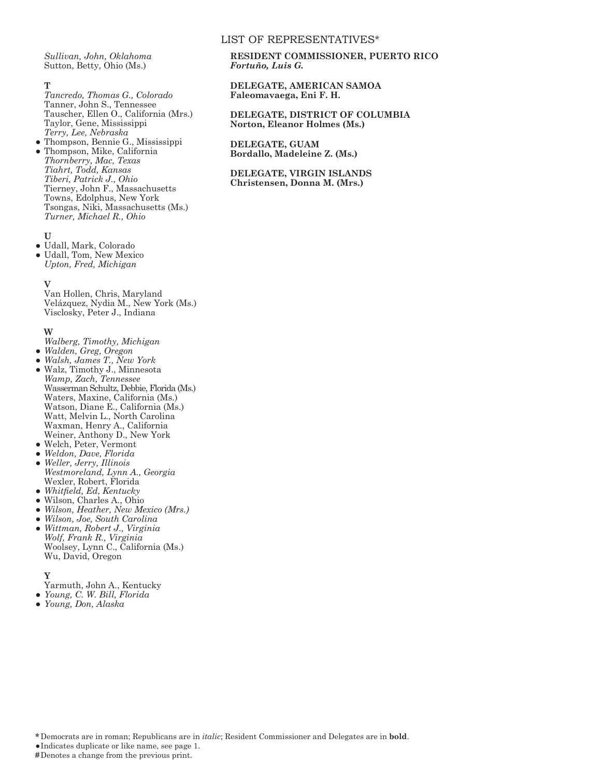#### LIST OF REPRESENTATIVES\*

*Sullivan, John, Oklahoma* Sutton, Betty, Ohio (Ms.)

#### **T**

*Tancredo, Thomas G., Colorado* Tanner, John S., Tennessee Tauscher, Ellen O., California (Mrs.) Taylor, Gene, Mississippi *Terry, Lee, Nebraska*

*●* Thompson, Bennie G., Mississippi *●* Thompson, Mike, California *Thornberry, Mac, Texas Tiahrt, Todd, Kansas Tiberi, Patrick J., Ohio* Tierney, John F., Massachusetts Towns, Edolphus, New York Tsongas, Niki, Massachusetts (Ms.) *Turner, Michael R., Ohio*

#### **U**

- *●* Udall, Mark, Colorado
- *●* Udall, Tom, New Mexico *Upton, Fred, Michigan*

#### **V**

Van Hollen, Chris, Maryland Velázquez, Nydia M., New York (Ms.) Visclosky, Peter J., Indiana

#### **W**

- *Walberg, Timothy, Michigan*
- *● Walden, Greg, Oregon*
- *● Walsh, James T., New York ●* Walz, Timothy J., Minnesota
- *Wamp, Zach, Tennessee* Wasserman Schultz, Debbie, Florida (Ms.) Waters, Maxine, California (Ms.) Watson, Diane E., California (Ms.) Watt, Melvin L., North Carolina Waxman, Henry A., California Weiner, Anthony D., New York
- *●* Welch, Peter, Vermont
- *● Weldon, Dave, Florida*
- *● Weller, Jerry, Illinois Westmoreland, Lynn A., Georgia* Wexler, Robert, Florida
- *● Whitfield, Ed, Kentucky*
- *●* Wilson, Charles A., Ohio
- *● Wilson, Heather, New Mexico (Mrs.)*
- *● Wilson, Joe, South Carolina ● Wittman, Robert J., Virginia*
- *Wolf, Frank R., Virginia* Woolsey, Lynn C., California (Ms.) Wu, David, Oregon

#### **Y**

Yarmuth, John A., Kentucky

- *● Young, C. W. Bill, Florida*
- *● Young, Don, Alaska*

## **RESIDENT COMMISSIONER, PUERTO RICO** *Fortuño, Luis G.*

## **DELEGATE, AMERICAN SAMOA Faleomavaega, Eni F. H.**

## **DELEGATE, DISTRICT OF COLUMBIA Norton, Eleanor Holmes (Ms.)**

**DELEGATE, GUAM Bordallo, Madeleine Z. (Ms.)**

#### **DELEGATE, VIRGIN ISLANDS Christensen, Donna M. (Mrs.)**

**\*** Democrats are in roman; Republicans are in *italic*; Resident Commissioner and Delegates are in **bold**.

*●*Indicates duplicate or like name, see page 1.

**#**Denotes a change from the previous print.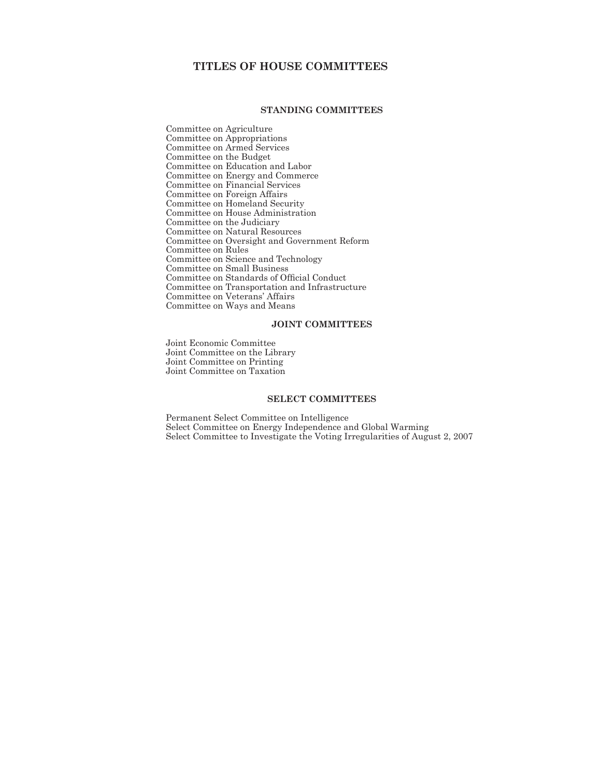# **TITLES OF HOUSE COMMITTEES**

## **STANDING COMMITTEES**

Committee on Agriculture Committee on Appropriations Committee on Armed Services Committee on the Budget Committee on Education and Labor Committee on Energy and Commerce Committee on Financial Services Committee on Foreign Affairs Committee on Homeland Security Committee on House Administration Committee on the Judiciary Committee on Natural Resources Committee on Oversight and Government Reform Committee on Rules Committee on Science and Technology Committee on Small Business Committee on Standards of Official Conduct Committee on Transportation and Infrastructure Committee on Veterans' Affairs Committee on Ways and Means

## **JOINT COMMITTEES**

Joint Economic Committee Joint Committee on the Library Joint Committee on Printing Joint Committee on Taxation

## **SELECT COMMITTEES**

Permanent Select Committee on Intelligence Select Committee on Energy Independence and Global Warming Select Committee to Investigate the Voting Irregularities of August 2, 2007